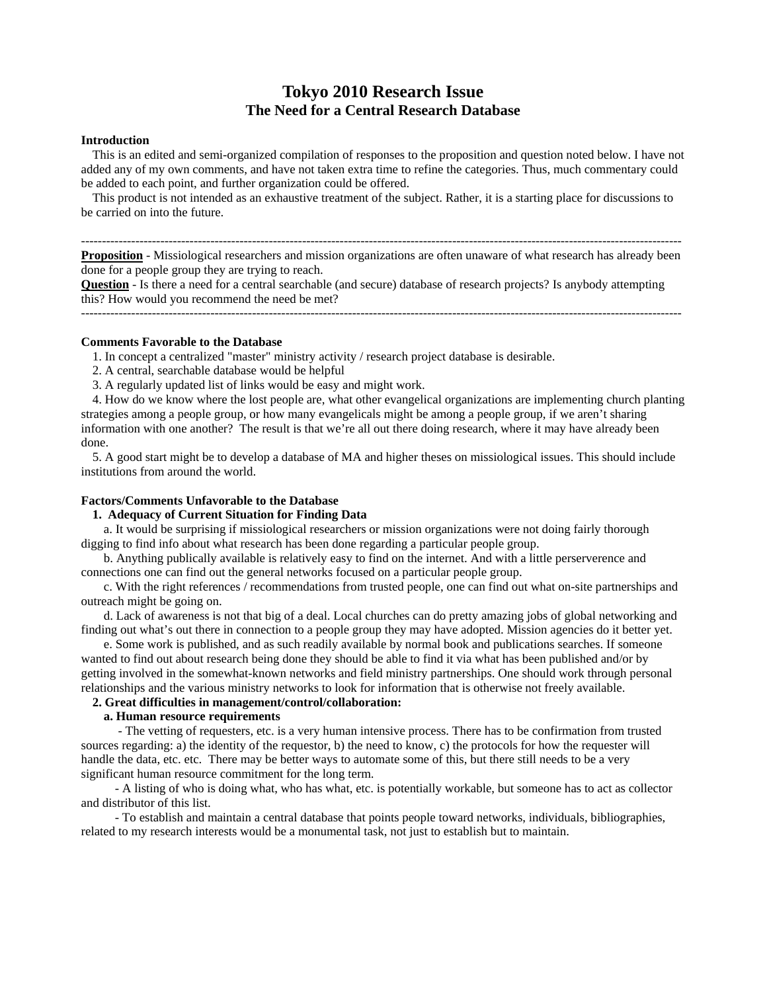# **Tokyo 2010 Research Issue The Need for a Central Research Database**

### **Introduction**

 This is an edited and semi-organized compilation of responses to the proposition and question noted below. I have not added any of my own comments, and have not taken extra time to refine the categories. Thus, much commentary could be added to each point, and further organization could be offered.

 This product is not intended as an exhaustive treatment of the subject. Rather, it is a starting place for discussions to be carried on into the future.

------------------------------------------------------------------------------------------------------------------------------------------------

**Proposition** - Missiological researchers and mission organizations are often unaware of what research has already been done for a people group they are trying to reach.

**Question** - Is there a need for a central searchable (and secure) database of research projects? Is anybody attempting this? How would you recommend the need be met?

------------------------------------------------------------------------------------------------------------------------------------------------

#### **Comments Favorable to the Database**

1. In concept a centralized "master" ministry activity / research project database is desirable.

- 2. A central, searchable database would be helpful
- 3. A regularly updated list of links would be easy and might work.

 4. How do we know where the lost people are, what other evangelical organizations are implementing church planting strategies among a people group, or how many evangelicals might be among a people group, if we aren't sharing information with one another? The result is that we're all out there doing research, where it may have already been done.

 5. A good start might be to develop a database of MA and higher theses on missiological issues. This should include institutions from around the world.

# **Factors/Comments Unfavorable to the Database**

# **1. Adequacy of Current Situation for Finding Data**

 a. It would be surprising if missiological researchers or mission organizations were not doing fairly thorough digging to find info about what research has been done regarding a particular people group.

 b. Anything publically available is relatively easy to find on the internet. And with a little perserverence and connections one can find out the general networks focused on a particular people group.

 c. With the right references / recommendations from trusted people, one can find out what on-site partnerships and outreach might be going on.

 d. Lack of awareness is not that big of a deal. Local churches can do pretty amazing jobs of global networking and finding out what's out there in connection to a people group they may have adopted. Mission agencies do it better yet.

 e. Some work is published, and as such readily available by normal book and publications searches. If someone wanted to find out about research being done they should be able to find it via what has been published and/or by getting involved in the somewhat-known networks and field ministry partnerships. One should work through personal relationships and the various ministry networks to look for information that is otherwise not freely available.

# **2. Great difficulties in management/control/collaboration:**

### **a. Human resource requirements**

- The vetting of requesters, etc. is a very human intensive process. There has to be confirmation from trusted sources regarding: a) the identity of the requestor, b) the need to know, c) the protocols for how the requester will handle the data, etc. etc. There may be better ways to automate some of this, but there still needs to be a very significant human resource commitment for the long term.

 - A listing of who is doing what, who has what, etc. is potentially workable, but someone has to act as collector and distributor of this list.

 - To establish and maintain a central database that points people toward networks, individuals, bibliographies, related to my research interests would be a monumental task, not just to establish but to maintain.